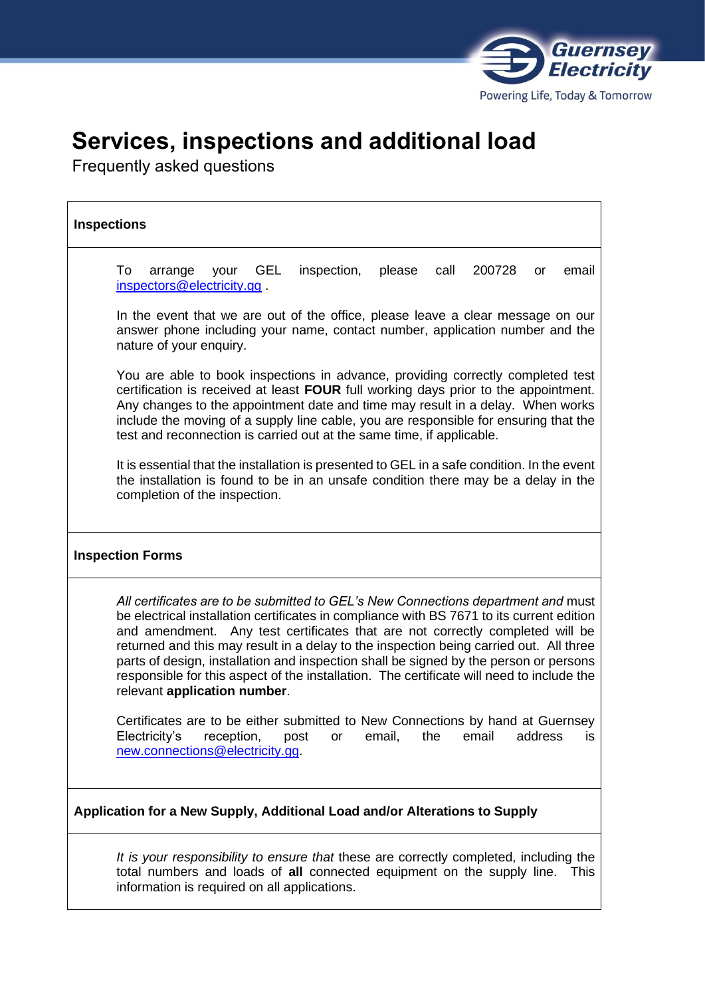

# **Services, inspections and additional load**

Frequently asked questions

| <b>Inspections</b>                                                                                                                                                                                                                                                                                                                                                                                                                                                                                                                                                              |
|---------------------------------------------------------------------------------------------------------------------------------------------------------------------------------------------------------------------------------------------------------------------------------------------------------------------------------------------------------------------------------------------------------------------------------------------------------------------------------------------------------------------------------------------------------------------------------|
| email<br>To<br><b>GEL</b><br>inspection,<br>please<br>200728<br>arrange<br>call<br>your<br>or<br>inspectors@electricity.gg                                                                                                                                                                                                                                                                                                                                                                                                                                                      |
| In the event that we are out of the office, please leave a clear message on our<br>answer phone including your name, contact number, application number and the<br>nature of your enquiry.                                                                                                                                                                                                                                                                                                                                                                                      |
| You are able to book inspections in advance, providing correctly completed test<br>certification is received at least FOUR full working days prior to the appointment.<br>Any changes to the appointment date and time may result in a delay. When works<br>include the moving of a supply line cable, you are responsible for ensuring that the<br>test and reconnection is carried out at the same time, if applicable.                                                                                                                                                       |
| It is essential that the installation is presented to GEL in a safe condition. In the event<br>the installation is found to be in an unsafe condition there may be a delay in the<br>completion of the inspection.                                                                                                                                                                                                                                                                                                                                                              |
| <b>Inspection Forms</b>                                                                                                                                                                                                                                                                                                                                                                                                                                                                                                                                                         |
| All certificates are to be submitted to GEL's New Connections department and must<br>be electrical installation certificates in compliance with BS 7671 to its current edition<br>and amendment. Any test certificates that are not correctly completed will be<br>returned and this may result in a delay to the inspection being carried out. All three<br>parts of design, installation and inspection shall be signed by the person or persons<br>responsible for this aspect of the installation. The certificate will need to include the<br>relevant application number. |
| Certificates are to be either submitted to New Connections by hand at Guernsey<br>Electricity's<br>reception, post or email, the email address<br>is<br>new.connections@electricity.gg.                                                                                                                                                                                                                                                                                                                                                                                         |
| Application for a New Supply, Additional Load and/or Alterations to Supply                                                                                                                                                                                                                                                                                                                                                                                                                                                                                                      |
| It is your responsibility to ensure that these are correctly completed, including the<br>total numbers and loads of all connected equipment on the supply line. This<br>information is required on all applications.                                                                                                                                                                                                                                                                                                                                                            |
|                                                                                                                                                                                                                                                                                                                                                                                                                                                                                                                                                                                 |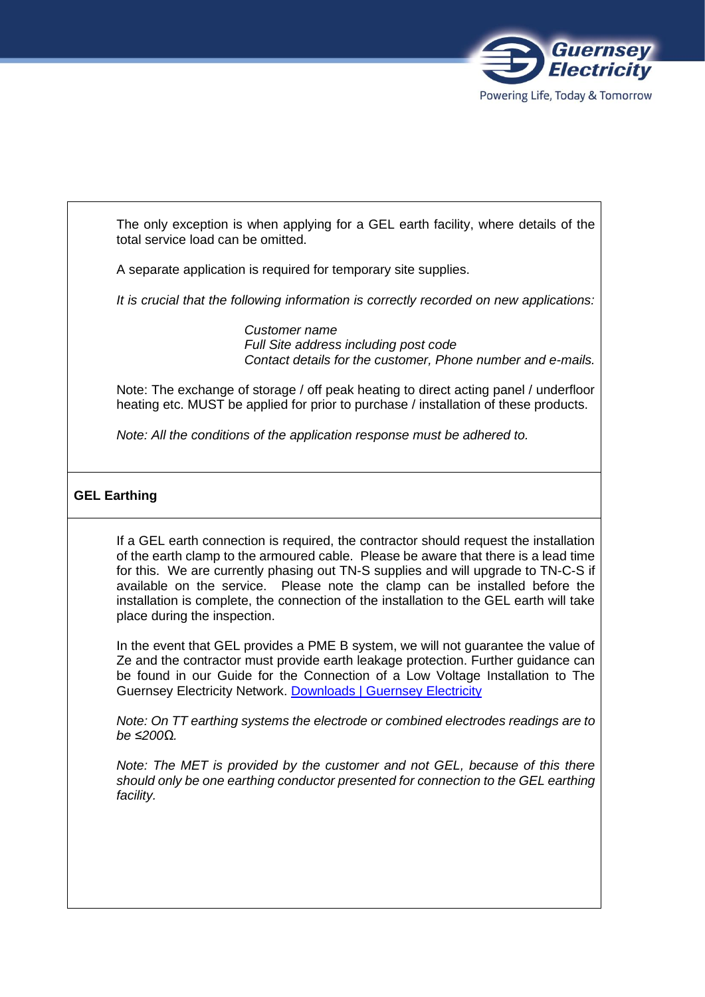

The only exception is when applying for a GEL earth facility, where details of the total service load can be omitted.

A separate application is required for temporary site supplies.

*It is crucial that the following information is correctly recorded on new applications:* 

*Customer name Full Site address including post code Contact details for the customer, Phone number and e-mails.*

Note: The exchange of storage / off peak heating to direct acting panel / underfloor heating etc. MUST be applied for prior to purchase / installation of these products.

*Note: All the conditions of the application response must be adhered to.*

## **GEL Earthing**

If a GEL earth connection is required, the contractor should request the installation of the earth clamp to the armoured cable. Please be aware that there is a lead time for this. We are currently phasing out TN-S supplies and will upgrade to TN-C-S if available on the service. Please note the clamp can be installed before the installation is complete, the connection of the installation to the GEL earth will take place during the inspection.

In the event that GEL provides a PME B system, we will not guarantee the value of Ze and the contractor must provide earth leakage protection. Further guidance can be found in our Guide for the Connection of a Low Voltage Installation to The Guernsey Electricity Network. Downloads | Guernsey Electricity

*Note: On TT earthing systems the electrode or combined electrodes readings are to be ≤200Ω.*

*Note: The MET is provided by the customer and not GEL, because of this there should only be one earthing conductor presented for connection to the GEL earthing facility.*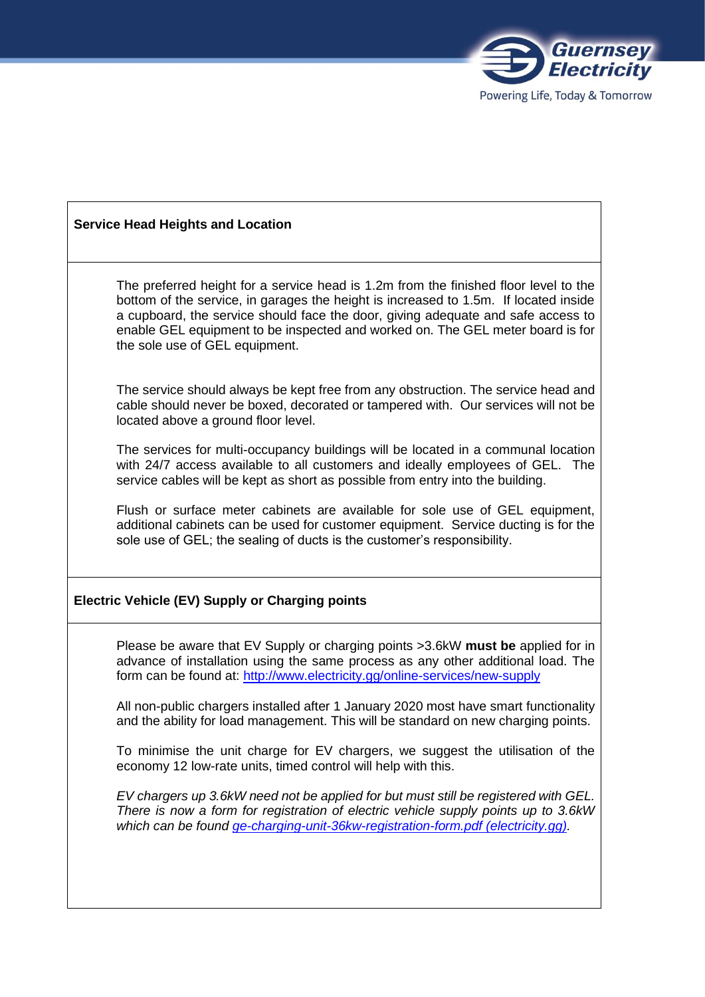

#### **Service Head Heights and Location**

The preferred height for a service head is 1.2m from the finished floor level to the bottom of the service, in garages the height is increased to 1.5m. If located inside a cupboard, the service should face the door, giving adequate and safe access to enable GEL equipment to be inspected and worked on. The GEL meter board is for the sole use of GEL equipment.

The service should always be kept free from any obstruction. The service head and cable should never be boxed, decorated or tampered with. Our services will not be located above a ground floor level.

The services for multi-occupancy buildings will be located in a communal location with 24/7 access available to all customers and ideally employees of GEL. The service cables will be kept as short as possible from entry into the building.

Flush or surface meter cabinets are available for sole use of GEL equipment, additional cabinets can be used for customer equipment. Service ducting is for the sole use of GEL; the sealing of ducts is the customer's responsibility.

#### **Electric Vehicle (EV) Supply or Charging points**

Please be aware that EV Supply or charging points >3.6kW **must be** applied for in advance of installation using the same process as any other additional load. The form can be found at: http://www.electricity.gg/online-services/new-supply

All non-public chargers installed after 1 January 2020 most have smart functionality and the ability for load management. This will be standard on new charging points.

To minimise the unit charge for EV chargers, we suggest the utilisation of the economy 12 low-rate units, timed control will help with this.

*EV chargers up 3.6kW need not be applied for but must still be registered with GEL. There is now a form for registration of electric vehicle supply points up to 3.6kW which can be found ge-charging-unit-36kw-registration-form.pdf (electricity.gg).*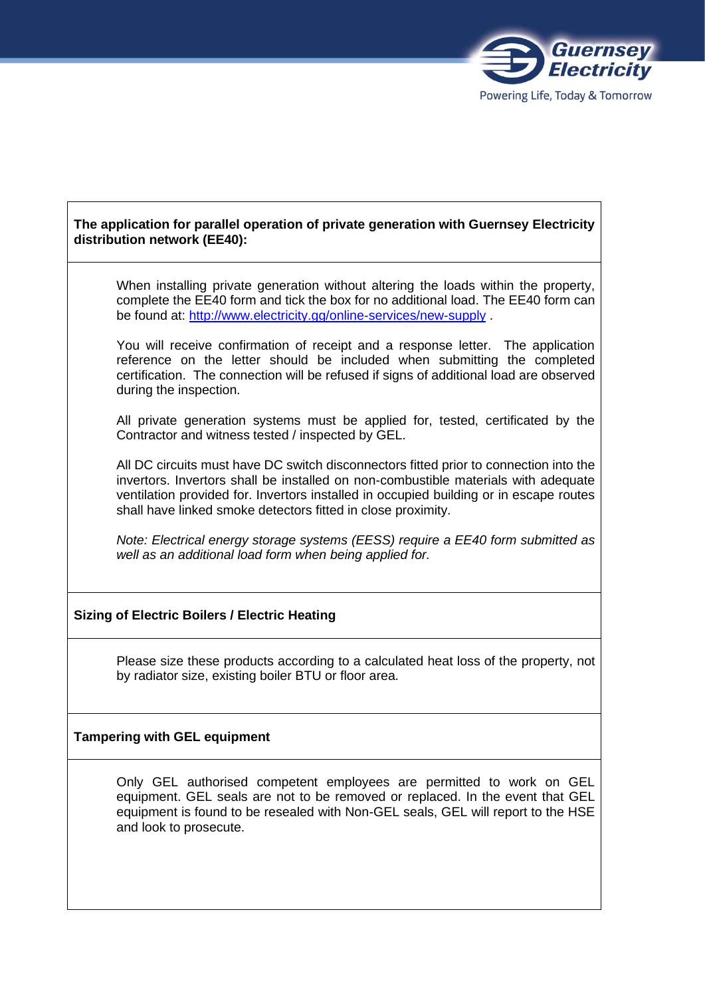

# **The application for parallel operation of private generation with Guernsey Electricity distribution network (EE40):**

When installing private generation without altering the loads within the property, complete the EE40 form and tick the box for no additional load. The EE40 form can be found at: http://www.electricity.gg/online-services/new-supply .

You will receive confirmation of receipt and a response letter. The application reference on the letter should be included when submitting the completed certification. The connection will be refused if signs of additional load are observed during the inspection.

All private generation systems must be applied for, tested, certificated by the Contractor and witness tested / inspected by GEL.

All DC circuits must have DC switch disconnectors fitted prior to connection into the invertors. Invertors shall be installed on non-combustible materials with adequate ventilation provided for. Invertors installed in occupied building or in escape routes shall have linked smoke detectors fitted in close proximity.

*Note: Electrical energy storage systems (EESS) require a EE40 form submitted as well as an additional load form when being applied for.* 

#### **Sizing of Electric Boilers / Electric Heating**

Please size these products according to a calculated heat loss of the property, not by radiator size, existing boiler BTU or floor area.

#### **Tampering with GEL equipment**

Only GEL authorised competent employees are permitted to work on GEL equipment. GEL seals are not to be removed or replaced. In the event that GEL equipment is found to be resealed with Non-GEL seals, GEL will report to the HSE and look to prosecute.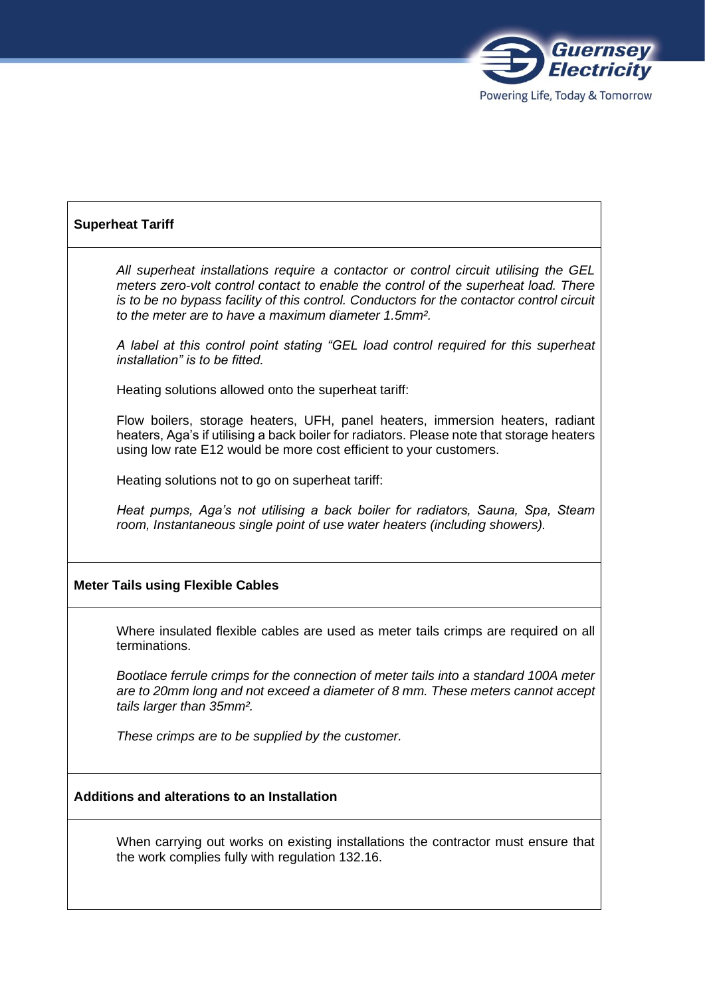

# **Superheat Tariff**

*All superheat installations require a contactor or control circuit utilising the GEL meters zero-volt control contact to enable the control of the superheat load. There is to be no bypass facility of this control. Conductors for the contactor control circuit to the meter are to have a maximum diameter 1.5mm².*

*A label at this control point stating "GEL load control required for this superheat installation" is to be fitted.*

Heating solutions allowed onto the superheat tariff:

Flow boilers, storage heaters, UFH, panel heaters, immersion heaters, radiant heaters, Aga's if utilising a back boiler for radiators. Please note that storage heaters using low rate E12 would be more cost efficient to your customers.

Heating solutions not to go on superheat tariff:

*Heat pumps, Aga's not utilising a back boiler for radiators, Sauna, Spa, Steam room, Instantaneous single point of use water heaters (including showers).*

#### **Meter Tails using Flexible Cables**

Where insulated flexible cables are used as meter tails crimps are required on all terminations.

*Bootlace ferrule crimps for the connection of meter tails into a standard 100A meter are to 20mm long and not exceed a diameter of 8 mm. These meters cannot accept tails larger than 35mm².*

*These crimps are to be supplied by the customer.*

## **Additions and alterations to an Installation**

When carrying out works on existing installations the contractor must ensure that the work complies fully with regulation 132.16.